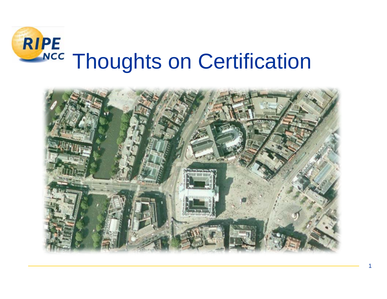

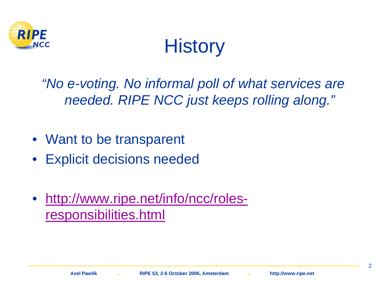

## **History**

*"No e-voting. No informal poll of what services are needed. RIPE NCC just keeps rolling along."*

- Want to be transparent
- Explicit decisions needed
- [http://www.ripe.net/info/ncc/roles](http://www.ripe.net/info/ncc/roles-responsibilities.html)[responsibilities.html](http://www.ripe.net/info/ncc/roles-responsibilities.html)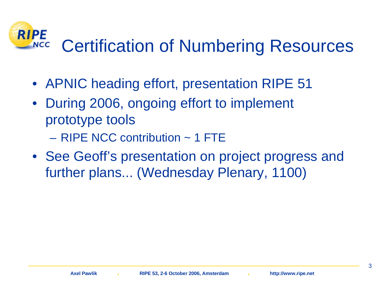#### **RIPE** Certification of Numbering Resources **NCC**

- APNIC heading effort, presentation RIPE 51
- $\bullet$  During 2006, ongoing effort to implement prototype tools
	- RIPE NCC contribution ~ 1 FTE
- See Geoff's presentation on project progress and further plans... (Wednesday Plenary, 1100)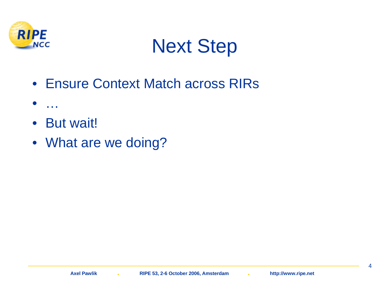

### Next Step

- Ensure Context Match across RIRs
- •…
- But wait!
- What are we doing?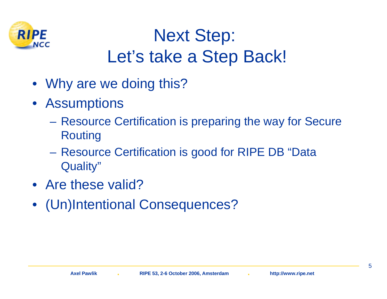

#### Next Step: Let's take a Step Back!

- Why are we doing this?
- Assumptions
	- – Resource Certification is preparing the way for Secure Routing
	- $\mathcal{L}_{\mathcal{A}}$  , and the set of  $\mathcal{L}_{\mathcal{A}}$  Resource Certification is good for RIPE DB "Data Quality"
- Are these valid?
- (Un)Intentional Consequences?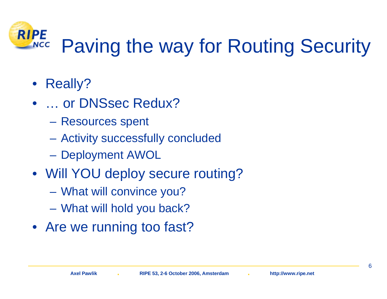#### **RIPE** Paving the way for Routing Security **NCC**

- Really?
- • … or DNSsec Redux?
	- –Resources spent
	- –Activity successfully concluded
	- –Deployment AWOL
- Will YOU deploy secure routing?
	- $\mathcal{L}_{\mathcal{A}}$  , and the set of  $\mathcal{L}_{\mathcal{A}}$ What will convince you?
	- $\mathcal{L}_{\mathcal{A}}$  , and the set of  $\mathcal{L}_{\mathcal{A}}$ What will hold you back?
- Are we running too fast?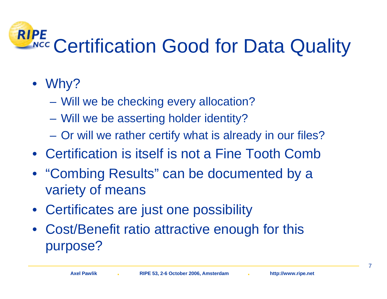#### **RIPE NCC** Certification Good for Data Quality

- Why?
	- $\mathcal{L}_{\mathcal{A}}$ Will we be checking every allocation?
	- $\mathcal{L}_{\mathcal{A}}$ Will we be asserting holder identity?
	- $\mathcal{L}_{\mathcal{A}}$ Or will we rather certify what is already in our files?
- Certification is itself is not a Fine Tooth Comb
- "Combing Results" can be documented by a variety of means
- Certificates are just one possibility
- Cost/Benefit ratio attractive enough for this purpose?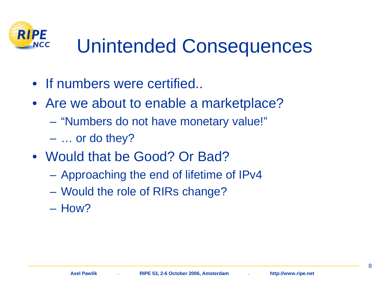

# Unintended Consequences

- If numbers were certified..
- Are we about to enable a marketplace?
	- –"Numbers do not have monetary value!"
	- –… or do they?
- Would that be Good? Or Bad?
	- $\mathcal{L}_{\mathcal{A}}$  , and the set of  $\mathcal{L}_{\mathcal{A}}$ Approaching the end of lifetime of IPv4
	- $\mathcal{L}_{\mathcal{A}}$  , and the set of  $\mathcal{L}_{\mathcal{A}}$ Would the role of RIRs change?
	- How?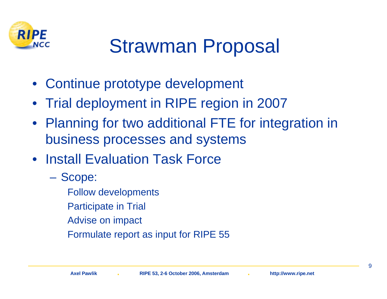

# Strawman Proposal

- Continue prototype development
- Trial deployment in RIPE region in 2007
- Planning for two additional FTE for integration in business processes and systems
- Install Evaluation Task Force
	- – Scope:
		- Follow developments
		- Participate in Trial
		- Advise on impact
		- Formulate report as input for RIPE 55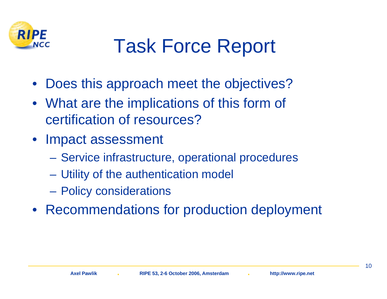

# Task Force Report

- Does this approach meet the objectives?
- What are the implications of this form of certification of resources?
- Impact assessment
	- $\mathcal{L}_{\mathcal{A}}$ Service infrastructure, operational procedures
	- $\mathcal{L}_{\mathcal{A}}$ Utility of the authentication model
	- $\mathcal{L}_{\mathcal{A}}$ Policy considerations
- Recommendations for production deployment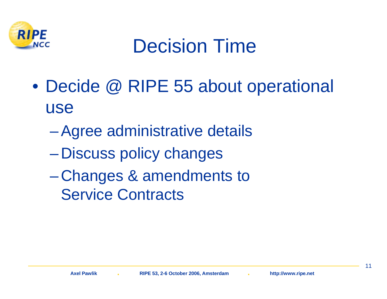

## Decision Time

- $\bullet$ Decide @ RIPE 55 about operational use
	- $\mathcal{L}_{\mathcal{A}}$  , and the set of  $\mathcal{L}_{\mathcal{A}}$ Agree administrative details
	- $\mathcal{L}_{\mathcal{A}}$  , and the set of  $\mathcal{L}_{\mathcal{A}}$ Discuss policy changes
	- $\mathcal{L}_{\mathcal{A}}$  Changes & amendments to Service Contracts